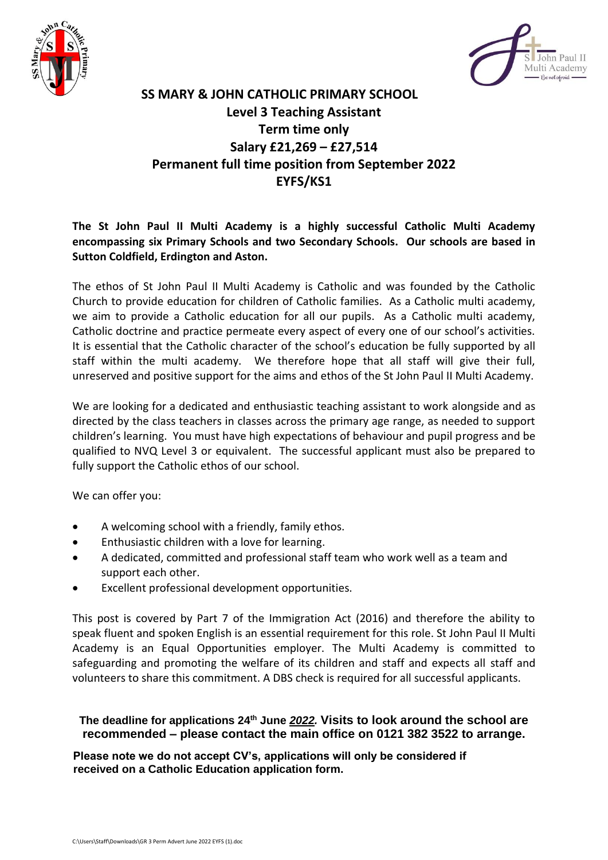



## **SS MARY & JOHN CATHOLIC PRIMARY SCHOOL Level 3 Teaching Assistant Term time only Salary £21,269 – £27,514 Permanent full time position from September 2022 EYFS/KS1**

## **The St John Paul II Multi Academy is a highly successful Catholic Multi Academy encompassing six Primary Schools and two Secondary Schools. Our schools are based in Sutton Coldfield, Erdington and Aston.**

The ethos of St John Paul II Multi Academy is Catholic and was founded by the Catholic Church to provide education for children of Catholic families. As a Catholic multi academy, we aim to provide a Catholic education for all our pupils. As a Catholic multi academy, Catholic doctrine and practice permeate every aspect of every one of our school's activities. It is essential that the Catholic character of the school's education be fully supported by all staff within the multi academy. We therefore hope that all staff will give their full, unreserved and positive support for the aims and ethos of the St John Paul II Multi Academy.

We are looking for a dedicated and enthusiastic teaching assistant to work alongside and as directed by the class teachers in classes across the primary age range, as needed to support children's learning. You must have high expectations of behaviour and pupil progress and be qualified to NVQ Level 3 or equivalent. The successful applicant must also be prepared to fully support the Catholic ethos of our school.

We can offer you:

- A welcoming school with a friendly, family ethos.
- Enthusiastic children with a love for learning.
- A dedicated, committed and professional staff team who work well as a team and support each other.
- Excellent professional development opportunities.

This post is covered by Part 7 of the Immigration Act (2016) and therefore the ability to speak fluent and spoken English is an essential requirement for this role. St John Paul II Multi Academy is an Equal Opportunities employer. The Multi Academy is committed to safeguarding and promoting the welfare of its children and staff and expects all staff and volunteers to share this commitment. A DBS check is required for all successful applicants.

**The deadline for applications 24th June** *2022.* **Visits to look around the school are recommended – please contact the main office on 0121 382 3522 to arrange.**

**Please note we do not accept CV's, applications will only be considered if received on a Catholic Education application form.**